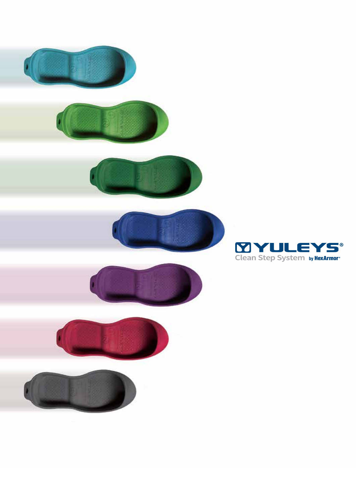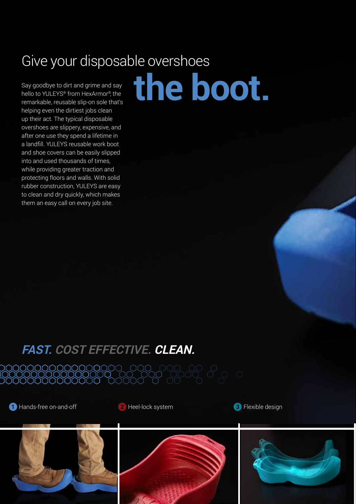## Give your disposable overshoes

**the boot.**

Say goodbye to dirt and grime and say hello to YULEYS® from HexArmor®, the remarkable, reusable slip-on sole that's helping even the dirtiest jobs clean up their act. The typical disposable overshoes are slippery, expensive, and after one use they spend a lifetime in a landfill. YULEYS reusable work boot and shoe covers can be easily slipped into and used thousands of times, while providing greater traction and protecting floors and walls. With solid rubber construction, YULEYS are easy to clean and dry quickly, which makes them an easy call on every job site.

# **FAST. COST EFFECTIVE. CLEAN.**

1 Hands-free on-and-off 2 Heel-lock system 3 Flexible design

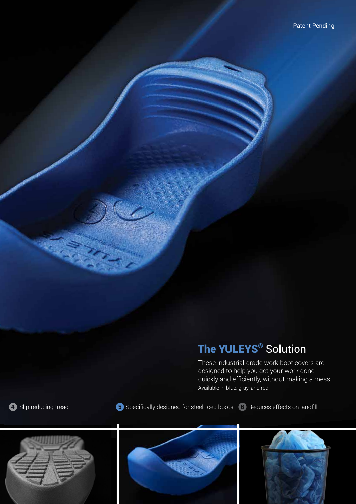### The YULEYS<sup>®</sup> Solution

These industrial-grade work boot covers are designed to help you get your work done quickly and efficiently, without making a mess. Available in blue, gray, and red.

**4** Slip-reducing tread **5** Specifically designed for steel-toed boots **6** Reduces effects on landfill





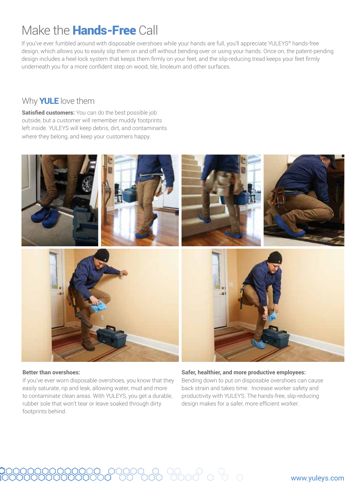### Make the Hands-Free Call

If you've ever fumbled around with disposable overshoes while your hands are full, you'll appreciate YULEYS® hands-free design, which allows you to easily slip them on and off without bending over or using your hands. Once on, the patent-pending design includes a heel-lock system that keeps them firmly on your feet, and the slip-reducing tread keeps your feet firmly underneath you for a more confident step on wood, tile, linoleum and other surfaces.

### Why **YULE** love them

**Satisfied customers:** You can do the best possible job outside, but a customer will remember muddy footprints left inside. YULEYS will keep debris, dirt, and contaminants where they belong, and keep your customers happy.



#### **Better than overshoes:**

If you've ever worn disposable overshoes, you know that they easily saturate, rip and leak, allowing water, mud and more to contaminate clean areas. With YULEYS, you get a durable, rubber sole that won't tear or leave soaked through dirty footprints behind.

#### **Safer, healthier, and more productive employees:**  Bending down to put on disposable overshoes can cause back strain and takes time. Increase worker safety and productivity with YULEYS. The hands-free, slip-reducing design makes for a safer, more efficient worker.

#### www.yuleys.com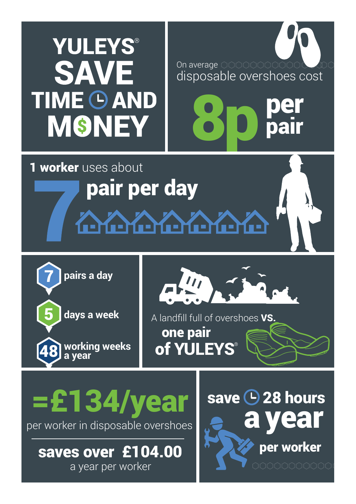# **YULEYS® SAVE TIME O AND MSNEY**

On average 0000000000 disposable overshoes cost

8p per

**pair** 

1 worker uses about pair per day

**Mene Mene Men** 

5 **days a week** 7

48

**pairs a day**

**working weeks a year**



A landfill full of overshoes VS. one pair of YULEYS

per worker in disposable overshoes

a year per worker saves over £104.00

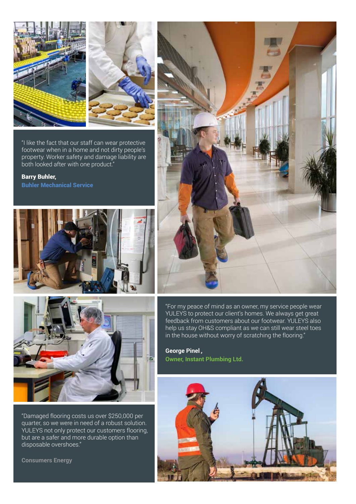

"I like the fact that our staff can wear protective footwear when in a home and not dirty people's property. Worker safety and damage liability are both looked after with one product."

Barry Buhler, Buhler Mechanical Service





"Damaged flooring costs us over \$250,000 per quarter, so we were in need of a robust solution. YULEYS not only protect our customers flooring, but are a safer and more durable option than disposable overshoes."

**Consumers Energy**



"For my peace of mind as an owner, my service people wear YULEYS to protect our client's homes. We always get great feedback from customers about our footwear. YULEYS also help us stay OH&S compliant as we can still wear steel toes in the house without worry of scratching the flooring."

**George Pinel**,, **Owner, Instant Plumbing Ltd.**

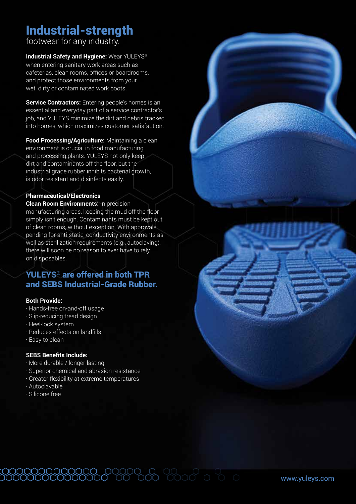### Industrial-strength

footwear for any industry.

**Industrial Safety and Hygiene:** Wear YULEYS® when entering sanitary work areas such as cafeterias, clean rooms, offices or boardrooms, and protect those environments from your wet, dirty or contaminated work boots.

**Service Contractors:** Entering people's homes is an essential and everyday part of a service contractor's job, and YULEYS minimize the dirt and debris tracked into homes, which maximizes customer satisfaction.

**Food Processing/Agriculture:** Maintaining a clean environment is crucial in food manufacturing and processing plants. YULEYS not only keep dirt and contaminants off the floor, but the industrial grade rubber inhibits bacterial growth, is odor resistant and disinfects easily.

#### **Pharmaceutical/Electronics**

**Clean Room Environments:** In precision manufacturing areas, keeping the mud off the floor simply isn't enough. Contaminants must be kept out of clean rooms, without exception. With approvals pending for anti-static, conductivity environments as well as sterilization requirements (e.g., autoclaving), there will soon be no reason to ever have to rely on disposables.

### YULEYS® are offered in both TPR and SEBS Industrial-Grade Rubber.

#### **Both Provide:**

- · Hands-free on-and-off usage
- · Slip-reducing tread design
- · Heel-lock system
- · Reduces effects on landfills
- · Easy to clean

#### **SEBS Benefits Include:**

- · More durable / longer lasting
- · Superior chemical and abrasion resistance
- · Greater flexibility at extreme temperatures

- · Autoclavable
- · Silicone free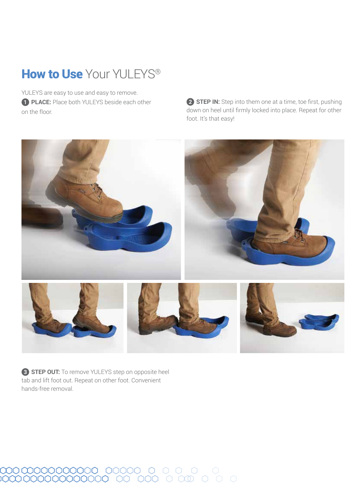### How to Use Your YULEYS<sup>®</sup>

YULEYS are easy to use and easy to remove. **1 PLACE:** Place both YULEYS beside each other on the floor.

**2 STEP IN:** Step into them one at a time, toe first, pushing down on heel until firmly locked into place. Repeat for other foot. It's that easy!



3 **STEP OUT:** To remove YULEYS step on opposite heel tab and lift foot out. Repeat on other foot. Convenient hands-free removal.

# $\begin{array}{cccccccccccccc} \text{OOOOOOOOOOOOOOOOOO} & & \text{OOOOOO} & & \text{O} & & \text{O} & & \text{O} & & \text{O} & & \text{O} & & \text{O} & & \text{O} & & \text{O} & & \text{O} & & \text{O} & & \text{O} & & \text{O} & & \text{O} & & \text{O} & & \text{O} & & \text{O} & & \text{O} & & \text{O} & & \text{O} & & \text{O} & & \text{O} & & \text{O} & & \text{O} & & \text{O} & & \text{O} & & \text{O} & & \text{O$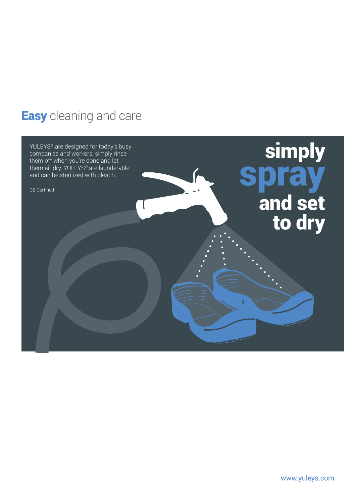### **Easy** cleaning and care

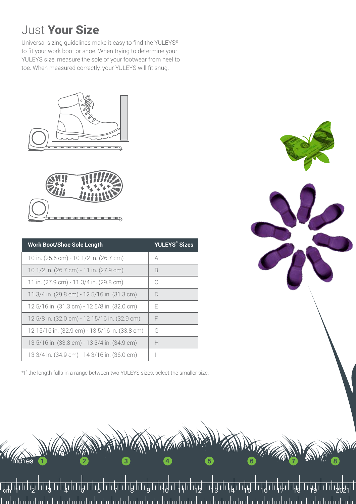### Just Your Size

Universal sizing guidelines make it easy to find the YULEYS® to fit your work boot or shoe. When trying to determine your YULEYS size, measure the sole of your footwear from heel to toe. When measured correctly, your YULEYS will fit snug.





**MANA** 

| <b>Work Boot/Shoe Sole Length</b>              | YULEYS® Sizes |
|------------------------------------------------|---------------|
| 10 in. (25.5 cm) - 10 1/2 in. (26.7 cm)        | A             |
| 10 1/2 in. (26.7 cm) - 11 in. (27.9 cm)        | B             |
| 11 in. (27.9 cm) - 11 3/4 in. (29.8 cm)        | C             |
| 11 3/4 in. (29.8 cm) - 12 5/16 in. (31.3 cm)   | D             |
| 12 5/16 in. (31.3 cm) - 12 5/8 in. (32.0 cm)   | F             |
| 12 5/8 in. (32.0 cm) - 12 15/16 in. (32.9 cm)  | F             |
| 12 15/16 in. (32.9 cm) - 13 5/16 in. (33.8 cm) | G             |
| 13 5/16 in. (33.8 cm) - 13 3/4 in. (34.9 cm)   | Н             |
| 13 3/4 in. (34.9 cm) - 14 3/16 in. (36.0 cm)   |               |

\*If the length falls in a range between two YULEYS sizes, select the smaller size.



1 2 3 4 5 6 7 8 9 10 11 12 13 14 15 16 17 18 19 2021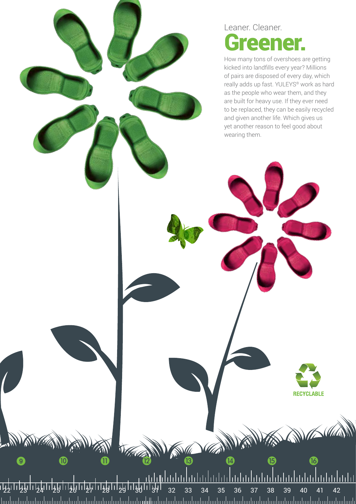